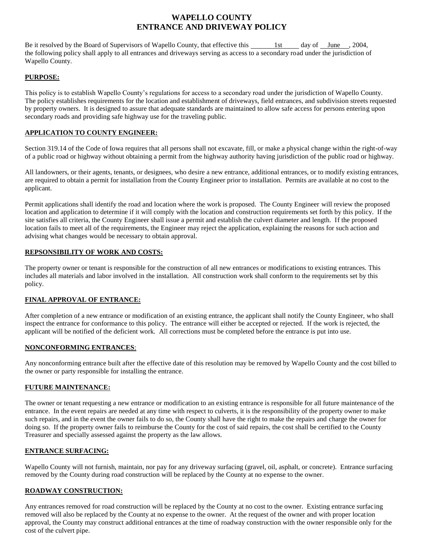# **WAPELLO COUNTY ENTRANCE AND DRIVEWAY POLICY**

Be it resolved by the Board of Supervisors of Wapello County, that effective this 1st day of June , 2004, the following policy shall apply to all entrances and driveways serving as access to a secondary road under the jurisdiction of Wapello County.

#### **PURPOSE:**

This policy is to establish Wapello County's regulations for access to a secondary road under the jurisdiction of Wapello County. The policy establishes requirements for the location and establishment of driveways, field entrances, and subdivision streets requested by property owners. It is designed to assure that adequate standards are maintained to allow safe access for persons entering upon secondary roads and providing safe highway use for the traveling public.

# **APPLICATION TO COUNTY ENGINEER:**

Section 319.14 of the Code of Iowa requires that all persons shall not excavate, fill, or make a physical change within the right-of-way of a public road or highway without obtaining a permit from the highway authority having jurisdiction of the public road or highway.

All landowners, or their agents, tenants, or designees, who desire a new entrance, additional entrances, or to modify existing entrances, are required to obtain a permit for installation from the County Engineer prior to installation. Permits are available at no cost to the applicant.

Permit applications shall identify the road and location where the work is proposed. The County Engineer will review the proposed location and application to determine if it will comply with the location and construction requirements set forth by this policy. If the site satisfies all criteria, the County Engineer shall issue a permit and establish the culvert diameter and length. If the proposed location fails to meet all of the requirements, the Engineer may reject the application, explaining the reasons for such action and advising what changes would be necessary to obtain approval.

#### **REPSONSIBILITY OF WORK AND COSTS:**

The property owner or tenant is responsible for the construction of all new entrances or modifications to existing entrances. This includes all materials and labor involved in the installation. All construction work shall conform to the requirements set by this policy.

# **FINAL APPROVAL OF ENTRANCE:**

After completion of a new entrance or modification of an existing entrance, the applicant shall notify the County Engineer, who shall inspect the entrance for conformance to this policy. The entrance will either be accepted or rejected. If the work is rejected, the applicant will be notified of the deficient work. All corrections must be completed before the entrance is put into use.

# **NONCONFORMING ENTRANCES**:

Any nonconforming entrance built after the effective date of this resolution may be removed by Wapello County and the cost billed to the owner or party responsible for installing the entrance.

#### **FUTURE MAINTENANCE:**

The owner or tenant requesting a new entrance or modification to an existing entrance is responsible for all future maintenance of the entrance. In the event repairs are needed at any time with respect to culverts, it is the responsibility of the property owner to make such repairs, and in the event the owner fails to do so, the County shall have the right to make the repairs and charge the owner for doing so. If the property owner fails to reimburse the County for the cost of said repairs, the cost shall be certified to the County Treasurer and specially assessed against the property as the law allows.

# **ENTRANCE SURFACING:**

Wapello County will not furnish, maintain, nor pay for any driveway surfacing (gravel, oil, asphalt, or concrete). Entrance surfacing removed by the County during road construction will be replaced by the County at no expense to the owner.

# **ROADWAY CONSTRUCTION:**

Any entrances removed for road construction will be replaced by the County at no cost to the owner. Existing entrance surfacing removed will also be replaced by the County at no expense to the owner. At the request of the owner and with proper location approval, the County may construct additional entrances at the time of roadway construction with the owner responsible only for the cost of the culvert pipe.